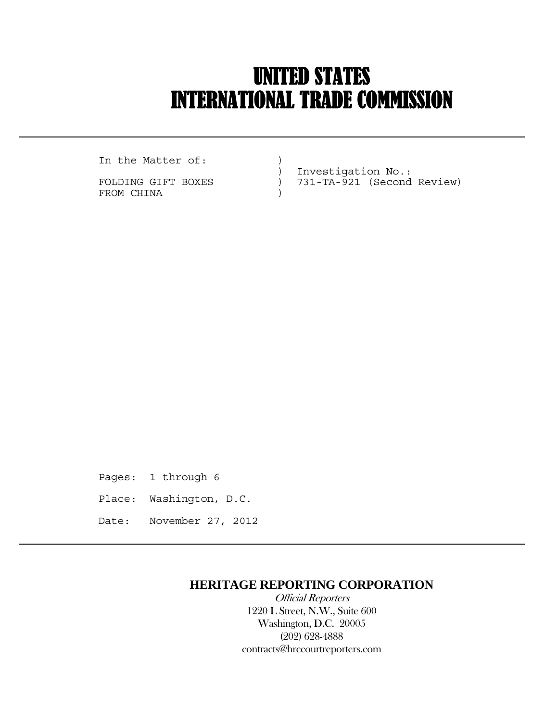# UNITED STATES INTERNATIONAL TRADE COMMISSION

In the Matter of:  $)$ 

 $\overline{a}$ 

FROM CHINA  $)$ 

 ) Investigation No.: FOLDING GIFT BOXES ) 731-TA-921 (Second Review)

Pages: 1 through 6 Place: Washington, D.C. Date: November 27, 2012

## **HERITAGE REPORTING CORPORATION**

 Official Reporters 1220 L Street, N.W., Suite 600 Washington, D.C. 20005 (202) 628-4888 contracts@hrccourtreporters.com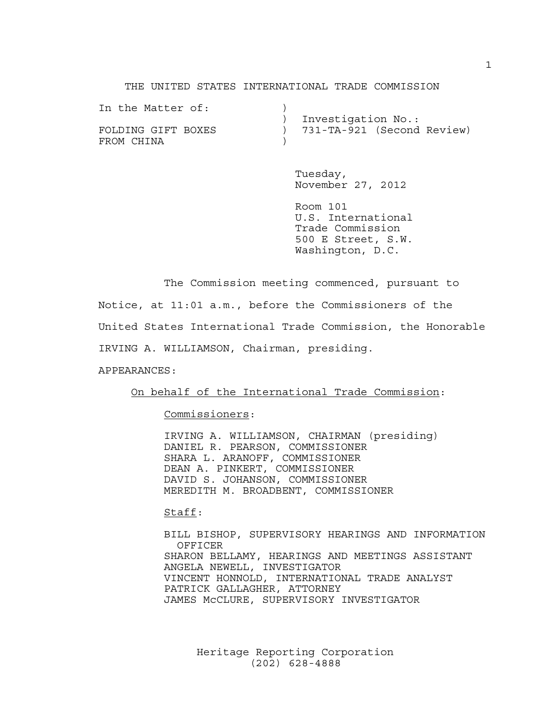THE UNITED STATES INTERNATIONAL TRADE COMMISSION

| In the Matter of:  |                              |
|--------------------|------------------------------|
|                    | Investigation No.:           |
| FOLDING GIFT BOXES | ) 731-TA-921 (Second Review) |
| FROM CHINA         |                              |

 Tuesday, November 27, 2012

 Room 101 U.S. International Trade Commission 500 E Street, S.W. Washington, D.C.

 The Commission meeting commenced, pursuant to Notice, at 11:01 a.m., before the Commissioners of the United States International Trade Commission, the Honorable IRVING A. WILLIAMSON, Chairman, presiding.

APPEARANCES:

On behalf of the International Trade Commission:

Commissioners:

 IRVING A. WILLIAMSON, CHAIRMAN (presiding) DANIEL R. PEARSON, COMMISSIONER SHARA L. ARANOFF, COMMISSIONER DEAN A. PINKERT, COMMISSIONER DAVID S. JOHANSON, COMMISSIONER MEREDITH M. BROADBENT, COMMISSIONER

Staff:

 BILL BISHOP, SUPERVISORY HEARINGS AND INFORMATION OFFICER SHARON BELLAMY, HEARINGS AND MEETINGS ASSISTANT ANGELA NEWELL, INVESTIGATOR VINCENT HONNOLD, INTERNATIONAL TRADE ANALYST PATRICK GALLAGHER, ATTORNEY JAMES McCLURE, SUPERVISORY INVESTIGATOR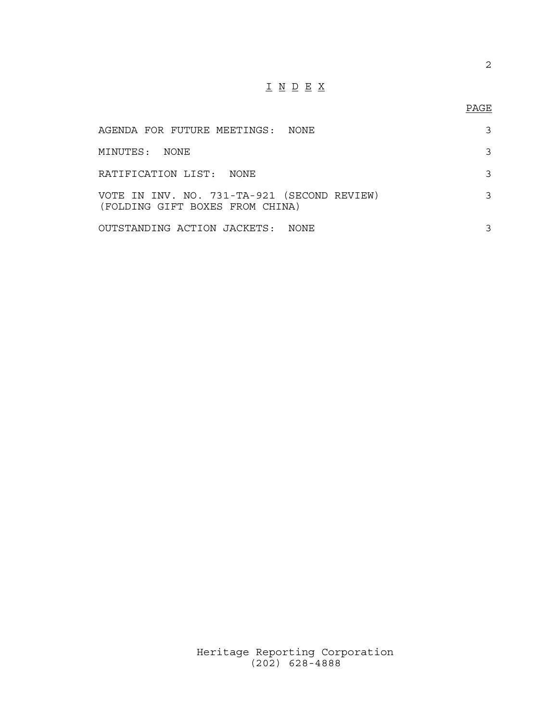## I N D E X

### PAGE

| AGENDA FOR FUTURE MEETINGS:  NONE                                              |  |
|--------------------------------------------------------------------------------|--|
| MINUTES: NONE                                                                  |  |
| RATIFICATION LIST: NONE                                                        |  |
| VOTE IN INV. NO. 731-TA-921 (SECOND REVIEW)<br>(FOLDING GIFT BOXES FROM CHINA) |  |
| OUTSTANDING ACTION JACKETS: NONE                                               |  |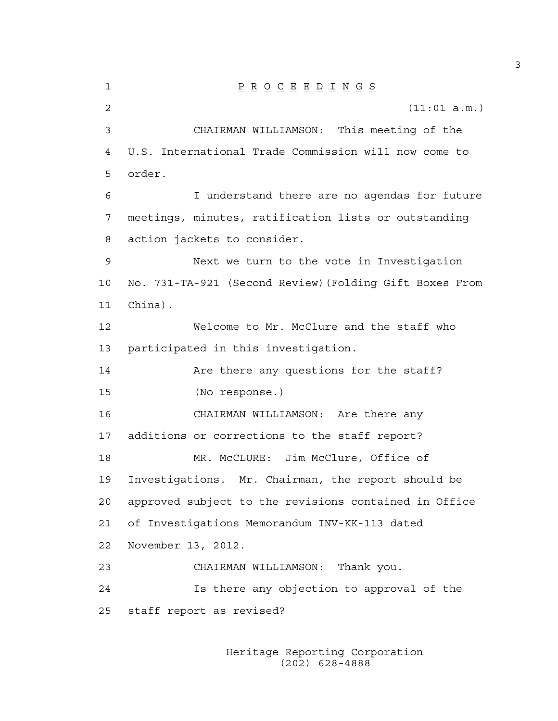1 P R O C E E D I N G S 2 (11:01 a.m.) 3 CHAIRMAN WILLIAMSON: This meeting of the 4 U.S. International Trade Commission will now come to 5 order. 6 I understand there are no agendas for future 7 meetings, minutes, ratification lists or outstanding 8 action jackets to consider. 9 Next we turn to the vote in Investigation 10 No. 731-TA-921 (Second Review)(Folding Gift Boxes From 11 China). 12 Welcome to Mr. McClure and the staff who 13 participated in this investigation. 14 Are there any questions for the staff? 15 (No response.) 16 CHAIRMAN WILLIAMSON: Are there any 17 additions or corrections to the staff report? 18 MR. McCLURE: Jim McClure, Office of 19 Investigations. Mr. Chairman, the report should be 20 approved subject to the revisions contained in Office 21 of Investigations Memorandum INV-KK-113 dated 22 November 13, 2012. 23 CHAIRMAN WILLIAMSON: Thank you. 24 Is there any objection to approval of the 25 staff report as revised?

> Heritage Reporting Corporation (202) 628-4888

3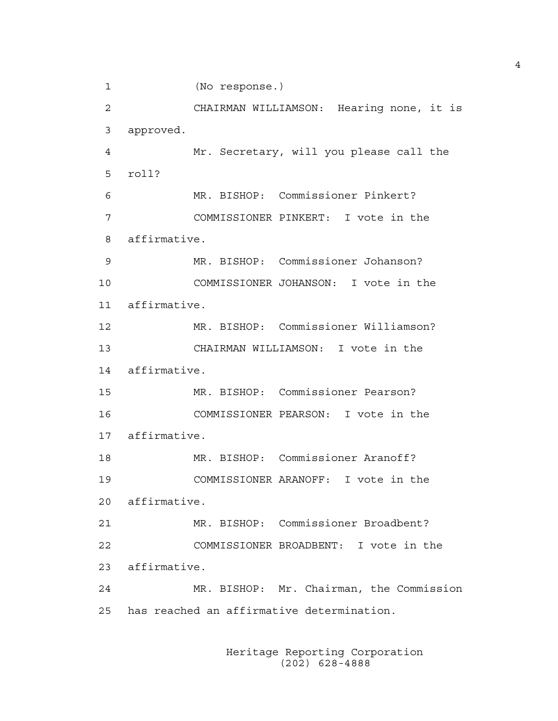1 (No response.) 2 CHAIRMAN WILLIAMSON: Hearing none, it is 3 approved. 4 Mr. Secretary, will you please call the 5 roll? 6 MR. BISHOP: Commissioner Pinkert? 7 COMMISSIONER PINKERT: I vote in the 8 affirmative. 9 MR. BISHOP: Commissioner Johanson? 10 COMMISSIONER JOHANSON: I vote in the 11 affirmative. 12 MR. BISHOP: Commissioner Williamson? 13 CHAIRMAN WILLIAMSON: I vote in the 14 affirmative. 15 MR. BISHOP: Commissioner Pearson? 16 COMMISSIONER PEARSON: I vote in the 17 affirmative. 18 MR. BISHOP: Commissioner Aranoff? 19 COMMISSIONER ARANOFF: I vote in the 20 affirmative. 21 MR. BISHOP: Commissioner Broadbent? 22 COMMISSIONER BROADBENT: I vote in the 23 affirmative. 24 MR. BISHOP: Mr. Chairman, the Commission 25 has reached an affirmative determination.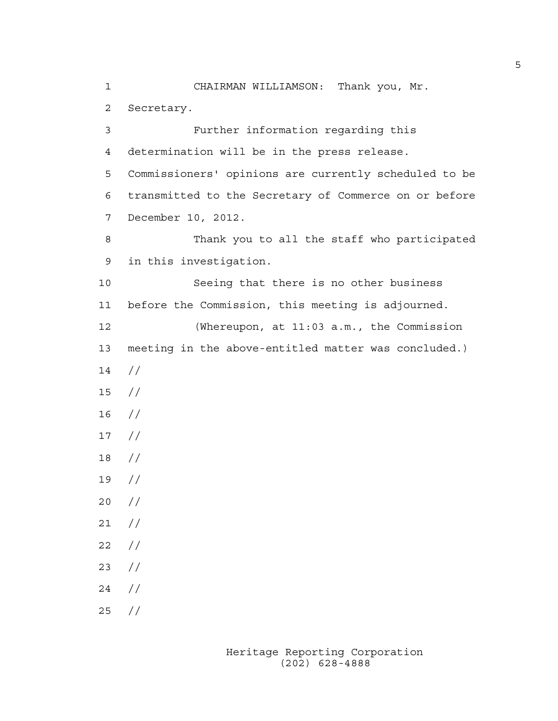1 CHAIRMAN WILLIAMSON: Thank you, Mr. 2 Secretary. 3 Further information regarding this 4 determination will be in the press release. 5 Commissioners' opinions are currently scheduled to be 6 transmitted to the Secretary of Commerce on or before 7 December 10, 2012. 8 Thank you to all the staff who participated 9 in this investigation. 10 Seeing that there is no other business 11 before the Commission, this meeting is adjourned. 12 (Whereupon, at 11:03 a.m., the Commission 13 meeting in the above-entitled matter was concluded.) 14 // 15 //  $16$  // 17 // 18 // 19 // 20 // 21 //  $22 / /$ 23 // 24 // 25 //

> Heritage Reporting Corporation (202) 628-4888

5